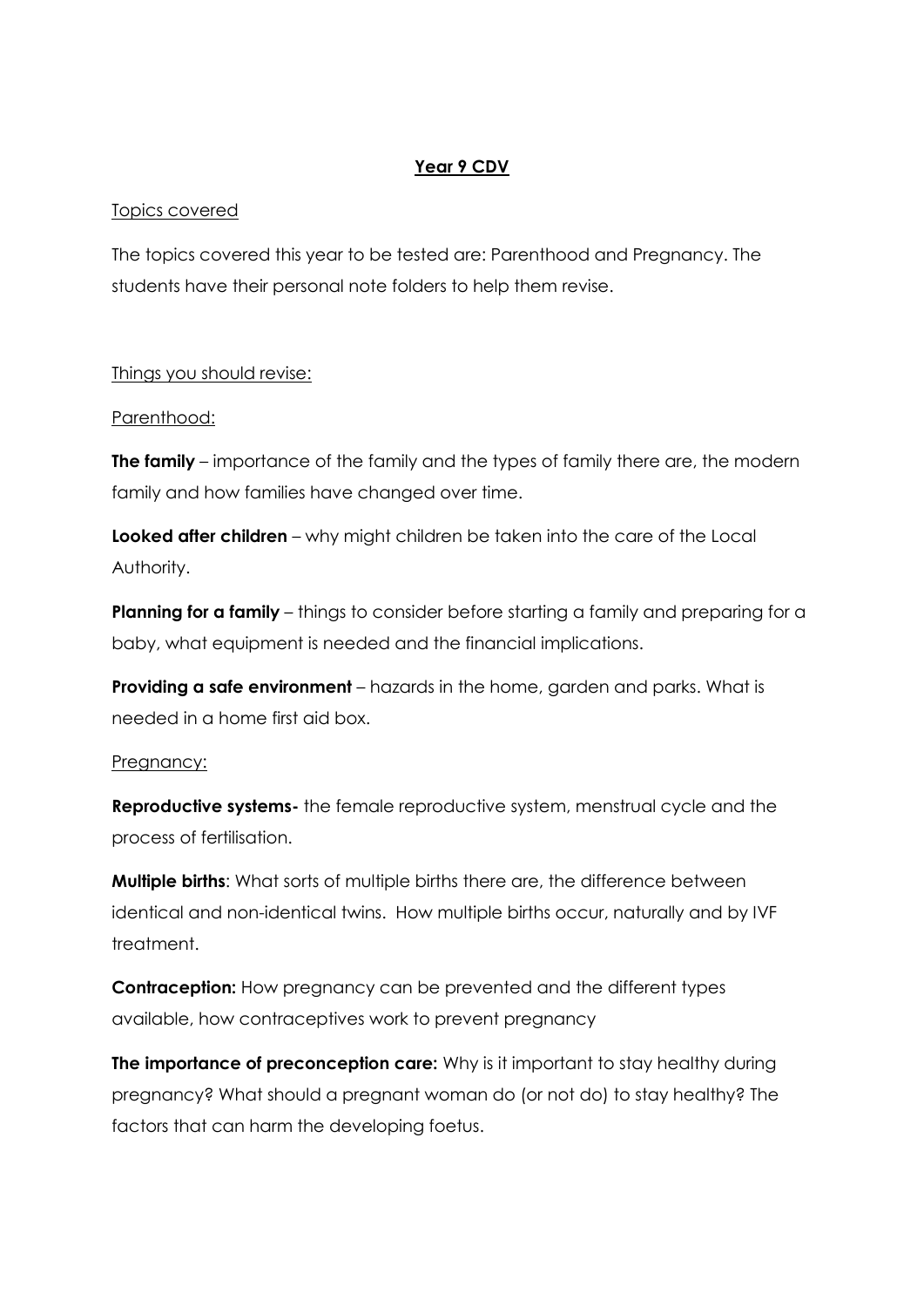#### **Year 9 CDV**

### Topics covered

The topics covered this year to be tested are: Parenthood and Pregnancy. The students have their personal note folders to help them revise.

#### Things you should revise:

#### Parenthood:

**The family** – importance of the family and the types of family there are, the modern family and how families have changed over time.

**Looked after children** – why might children be taken into the care of the Local Authority.

**Planning for a family** – things to consider before starting a family and preparing for a baby, what equipment is needed and the financial implications.

**Providing a safe environment** – hazards in the home, garden and parks. What is needed in a home first aid box.

#### Pregnancy:

**Reproductive systems-** the female reproductive system, menstrual cycle and the process of fertilisation.

**Multiple births**: What sorts of multiple births there are, the difference between identical and non-identical twins. How multiple births occur, naturally and by IVF treatment.

**Contraception:** How pregnancy can be prevented and the different types available, how contraceptives work to prevent pregnancy

**The importance of preconception care:** Why is it important to stay healthy during pregnancy? What should a pregnant woman do (or not do) to stay healthy? The factors that can harm the developing foetus.